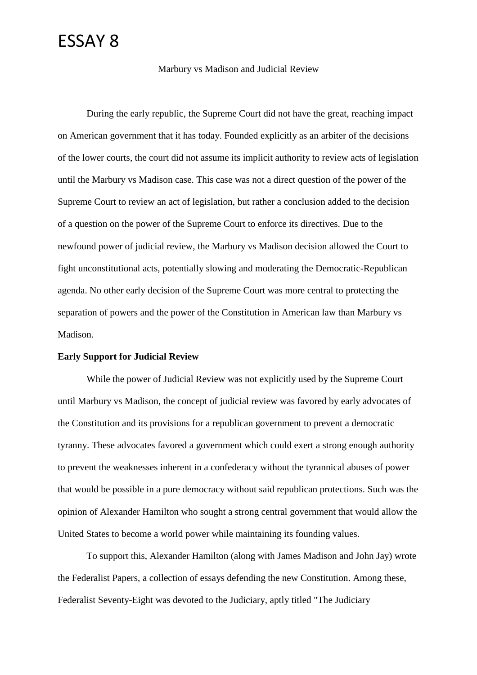### ESSAY 8

Marbury vs Madison and Judicial Review

During the early republic, the Supreme Court did not have the great, reaching impact on American government that it has today. Founded explicitly as an arbiter of the decisions of the lower courts, the court did not assume its implicit authority to review acts of legislation until the Marbury vs Madison case. This case was not a direct question of the power of the Supreme Court to review an act of legislation, but rather a conclusion added to the decision of a question on the power of the Supreme Court to enforce its directives. Due to the newfound power of judicial review, the Marbury vs Madison decision allowed the Court to fight unconstitutional acts, potentially slowing and moderating the Democratic-Republican agenda. No other early decision of the Supreme Court was more central to protecting the separation of powers and the power of the Constitution in American law than Marbury vs Madison.

#### **Early Support for Judicial Review**

While the power of Judicial Review was not explicitly used by the Supreme Court until Marbury vs Madison, the concept of judicial review was favored by early advocates of the Constitution and its provisions for a republican government to prevent a democratic tyranny. These advocates favored a government which could exert a strong enough authority to prevent the weaknesses inherent in a confederacy without the tyrannical abuses of power that would be possible in a pure democracy without said republican protections. Such was the opinion of Alexander Hamilton who sought a strong central government that would allow the United States to become a world power while maintaining its founding values.

To support this, Alexander Hamilton (along with James Madison and John Jay) wrote the Federalist Papers, a collection of essays defending the new Constitution. Among these, Federalist Seventy-Eight was devoted to the Judiciary, aptly titled "The Judiciary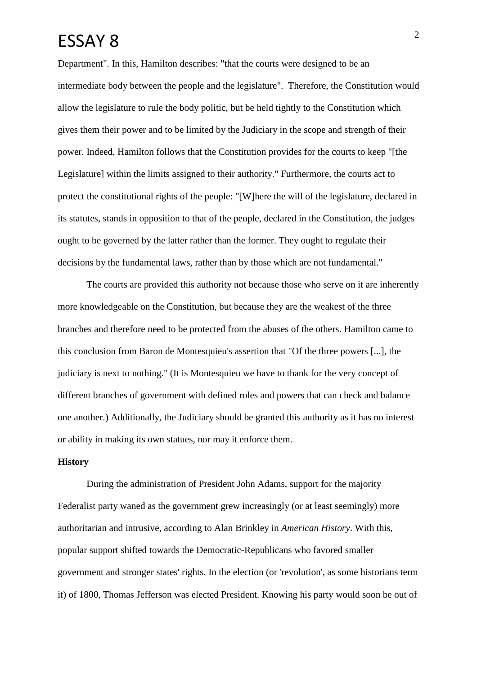### $ESSAY 8$ <sup>2</sup>

Department". In this, Hamilton describes: "that the courts were designed to be an intermediate body between the people and the legislature". Therefore, the Constitution would allow the legislature to rule the body politic, but be held tightly to the Constitution which gives them their power and to be limited by the Judiciary in the scope and strength of their power. Indeed, Hamilton follows that the Constitution provides for the courts to keep "[the Legislature] within the limits assigned to their authority." Furthermore, the courts act to protect the constitutional rights of the people: "[W]here the will of the legislature, declared in its statutes, stands in opposition to that of the people, declared in the Constitution, the judges ought to be governed by the latter rather than the former. They ought to regulate their decisions by the fundamental laws, rather than by those which are not fundamental."

The courts are provided this authority not because those who serve on it are inherently more knowledgeable on the Constitution, but because they are the weakest of the three branches and therefore need to be protected from the abuses of the others. Hamilton came to this conclusion from Baron de Montesquieu's assertion that "Of the three powers [...], the judiciary is next to nothing." (It is Montesquieu we have to thank for the very concept of different branches of government with defined roles and powers that can check and balance one another.) Additionally, the Judiciary should be granted this authority as it has no interest or ability in making its own statues, nor may it enforce them.

### **History**

During the administration of President John Adams, support for the majority Federalist party waned as the government grew increasingly (or at least seemingly) more authoritarian and intrusive, according to Alan Brinkley in *American History*. With this, popular support shifted towards the Democratic-Republicans who favored smaller government and stronger states' rights. In the election (or 'revolution', as some historians term it) of 1800, Thomas Jefferson was elected President. Knowing his party would soon be out of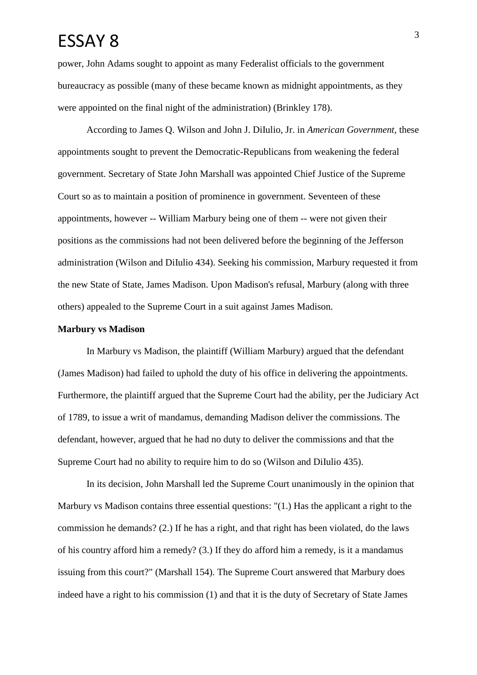# $ESSAY 8$ <sup>3</sup>

power, John Adams sought to appoint as many Federalist officials to the government bureaucracy as possible (many of these became known as midnight appointments, as they were appointed on the final night of the administration) (Brinkley 178).

According to James Q. Wilson and John J. DiIulio, Jr. in *American Government*, these appointments sought to prevent the Democratic-Republicans from weakening the federal government. Secretary of State John Marshall was appointed Chief Justice of the Supreme Court so as to maintain a position of prominence in government. Seventeen of these appointments, however -- William Marbury being one of them -- were not given their positions as the commissions had not been delivered before the beginning of the Jefferson administration (Wilson and DiIulio 434). Seeking his commission, Marbury requested it from the new State of State, James Madison. Upon Madison's refusal, Marbury (along with three others) appealed to the Supreme Court in a suit against James Madison.

### **Marbury vs Madison**

In Marbury vs Madison, the plaintiff (William Marbury) argued that the defendant (James Madison) had failed to uphold the duty of his office in delivering the appointments. Furthermore, the plaintiff argued that the Supreme Court had the ability, per the Judiciary Act of 1789, to issue a writ of mandamus, demanding Madison deliver the commissions. The defendant, however, argued that he had no duty to deliver the commissions and that the Supreme Court had no ability to require him to do so (Wilson and DiIulio 435).

In its decision, John Marshall led the Supreme Court unanimously in the opinion that Marbury vs Madison contains three essential questions: "(1.) Has the applicant a right to the commission he demands? (2.) If he has a right, and that right has been violated, do the laws of his country afford him a remedy? (3.) If they do afford him a remedy, is it a mandamus issuing from this court?" (Marshall 154). The Supreme Court answered that Marbury does indeed have a right to his commission (1) and that it is the duty of Secretary of State James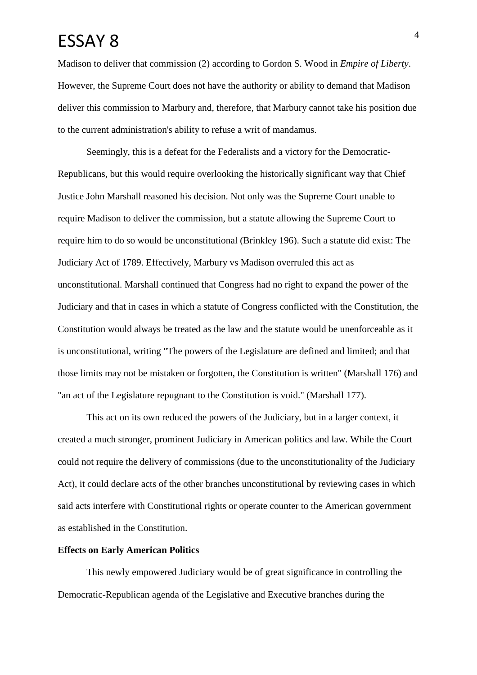### $ESSAY 8$ <sup>4</sup>

Madison to deliver that commission (2) according to Gordon S. Wood in *Empire of Liberty*. However, the Supreme Court does not have the authority or ability to demand that Madison deliver this commission to Marbury and, therefore, that Marbury cannot take his position due to the current administration's ability to refuse a writ of mandamus.

Seemingly, this is a defeat for the Federalists and a victory for the Democratic-Republicans, but this would require overlooking the historically significant way that Chief Justice John Marshall reasoned his decision. Not only was the Supreme Court unable to require Madison to deliver the commission, but a statute allowing the Supreme Court to require him to do so would be unconstitutional (Brinkley 196). Such a statute did exist: The Judiciary Act of 1789. Effectively, Marbury vs Madison overruled this act as unconstitutional. Marshall continued that Congress had no right to expand the power of the Judiciary and that in cases in which a statute of Congress conflicted with the Constitution, the Constitution would always be treated as the law and the statute would be unenforceable as it is unconstitutional, writing "The powers of the Legislature are defined and limited; and that those limits may not be mistaken or forgotten, the Constitution is written" (Marshall 176) and "an act of the Legislature repugnant to the Constitution is void." (Marshall 177).

This act on its own reduced the powers of the Judiciary, but in a larger context, it created a much stronger, prominent Judiciary in American politics and law. While the Court could not require the delivery of commissions (due to the unconstitutionality of the Judiciary Act), it could declare acts of the other branches unconstitutional by reviewing cases in which said acts interfere with Constitutional rights or operate counter to the American government as established in the Constitution.

### **Effects on Early American Politics**

This newly empowered Judiciary would be of great significance in controlling the Democratic-Republican agenda of the Legislative and Executive branches during the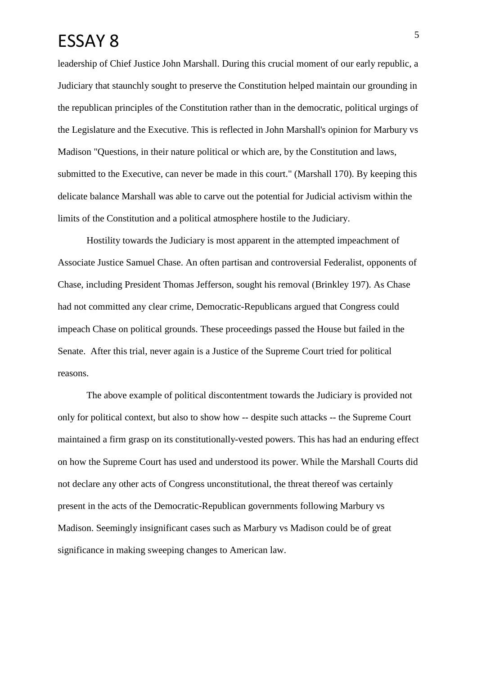# ESSAY 8

leadership of Chief Justice John Marshall. During this crucial moment of our early republic, a Judiciary that staunchly sought to preserve the Constitution helped maintain our grounding in the republican principles of the Constitution rather than in the democratic, political urgings of the Legislature and the Executive. This is reflected in John Marshall's opinion for Marbury vs Madison "Questions, in their nature political or which are, by the Constitution and laws, submitted to the Executive, can never be made in this court." (Marshall 170). By keeping this delicate balance Marshall was able to carve out the potential for Judicial activism within the limits of the Constitution and a political atmosphere hostile to the Judiciary.

Hostility towards the Judiciary is most apparent in the attempted impeachment of Associate Justice Samuel Chase. An often partisan and controversial Federalist, opponents of Chase, including President Thomas Jefferson, sought his removal (Brinkley 197). As Chase had not committed any clear crime, Democratic-Republicans argued that Congress could impeach Chase on political grounds. These proceedings passed the House but failed in the Senate. After this trial, never again is a Justice of the Supreme Court tried for political reasons.

The above example of political discontentment towards the Judiciary is provided not only for political context, but also to show how -- despite such attacks -- the Supreme Court maintained a firm grasp on its constitutionally-vested powers. This has had an enduring effect on how the Supreme Court has used and understood its power. While the Marshall Courts did not declare any other acts of Congress unconstitutional, the threat thereof was certainly present in the acts of the Democratic-Republican governments following Marbury vs Madison. Seemingly insignificant cases such as Marbury vs Madison could be of great significance in making sweeping changes to American law.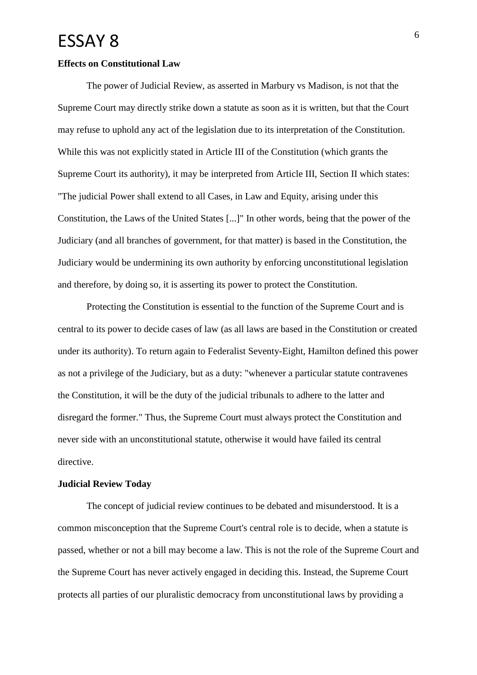### ESSAY 8 6

#### **Effects on Constitutional Law**

The power of Judicial Review, as asserted in Marbury vs Madison, is not that the Supreme Court may directly strike down a statute as soon as it is written, but that the Court may refuse to uphold any act of the legislation due to its interpretation of the Constitution. While this was not explicitly stated in Article III of the Constitution (which grants the Supreme Court its authority), it may be interpreted from Article III, Section II which states: "The judicial Power shall extend to all Cases, in Law and Equity, arising under this Constitution, the Laws of the United States [...]" In other words, being that the power of the Judiciary (and all branches of government, for that matter) is based in the Constitution, the Judiciary would be undermining its own authority by enforcing unconstitutional legislation and therefore, by doing so, it is asserting its power to protect the Constitution.

Protecting the Constitution is essential to the function of the Supreme Court and is central to its power to decide cases of law (as all laws are based in the Constitution or created under its authority). To return again to Federalist Seventy-Eight, Hamilton defined this power as not a privilege of the Judiciary, but as a duty: "whenever a particular statute contravenes the Constitution, it will be the duty of the judicial tribunals to adhere to the latter and disregard the former." Thus, the Supreme Court must always protect the Constitution and never side with an unconstitutional statute, otherwise it would have failed its central directive.

#### **Judicial Review Today**

The concept of judicial review continues to be debated and misunderstood. It is a common misconception that the Supreme Court's central role is to decide, when a statute is passed, whether or not a bill may become a law. This is not the role of the Supreme Court and the Supreme Court has never actively engaged in deciding this. Instead, the Supreme Court protects all parties of our pluralistic democracy from unconstitutional laws by providing a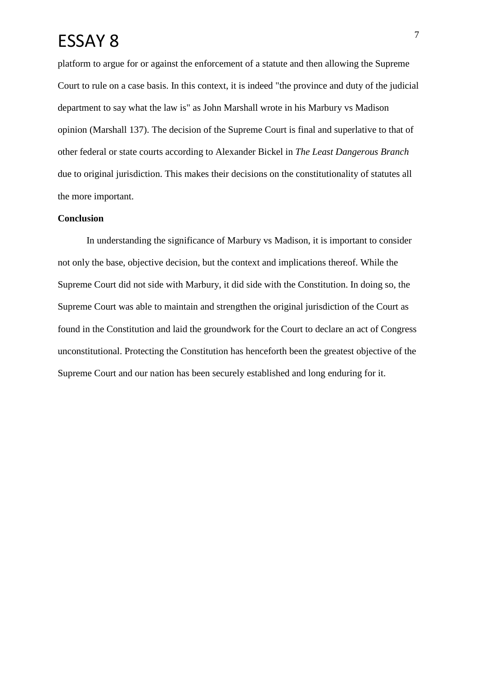# ESSAY 8

platform to argue for or against the enforcement of a statute and then allowing the Supreme Court to rule on a case basis. In this context, it is indeed "the province and duty of the judicial department to say what the law is" as John Marshall wrote in his Marbury vs Madison opinion (Marshall 137). The decision of the Supreme Court is final and superlative to that of other federal or state courts according to Alexander Bickel in *The Least Dangerous Branch* due to original jurisdiction. This makes their decisions on the constitutionality of statutes all the more important.

### **Conclusion**

In understanding the significance of Marbury vs Madison, it is important to consider not only the base, objective decision, but the context and implications thereof. While the Supreme Court did not side with Marbury, it did side with the Constitution. In doing so, the Supreme Court was able to maintain and strengthen the original jurisdiction of the Court as found in the Constitution and laid the groundwork for the Court to declare an act of Congress unconstitutional. Protecting the Constitution has henceforth been the greatest objective of the Supreme Court and our nation has been securely established and long enduring for it.